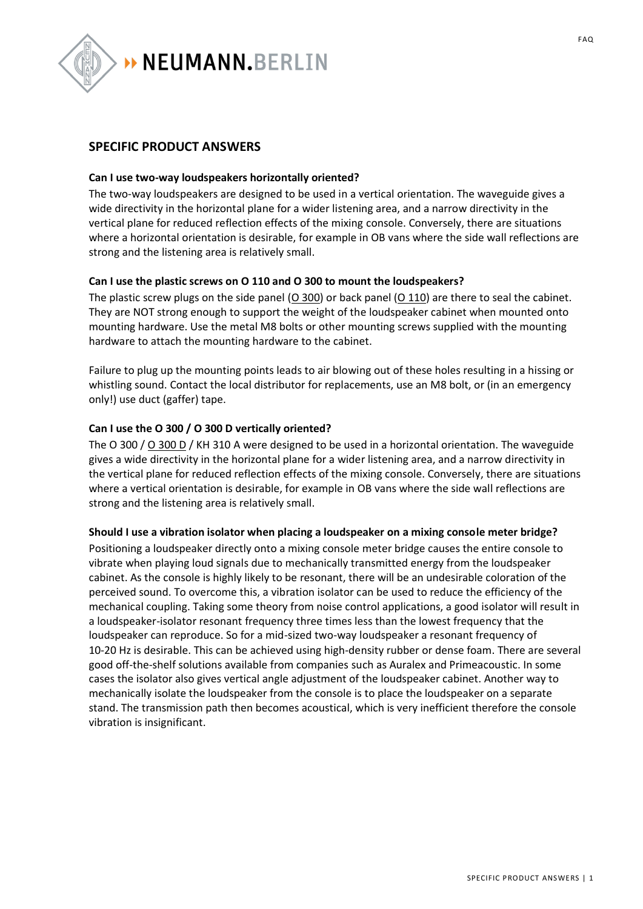

# **SPECIFIC PRODUCT ANSWERS**

#### **Can I use two-way loudspeakers horizontally oriented?**

The two-way loudspeakers are designed to be used in a vertical orientation. The waveguide gives a wide directivity in the horizontal plane for a wider listening area, and a narrow directivity in the vertical plane for reduced reflection effects of the mixing console. Conversely, there are situations where a horizontal orientation is desirable, for example in OB vans where the side wall reflections are strong and the listening area is relatively small.

#### **Can I use the plastic screws on O 110 and O 300 to mount the loudspeakers?**

The plastic screw plugs on the side panel  $(O 300)$  or back panel  $(O 110)$  are there to seal the cabinet. They are NOT strong enough to support the weight of the loudspeaker cabinet when mounted onto mounting hardware. Use the metal M8 bolts or other mounting screws supplied with the mounting hardware to attach the mounting hardware to the cabinet.

Failure to plug up the mounting points leads to air blowing out of these holes resulting in a hissing or whistling sound. Contact the local distributor for replacements, use an M8 bolt, or (in an emergency only!) use duct (gaffer) tape.

#### **Can I use the O 300 / O 300 D vertically oriented?**

The O 300 / [O 300 D](http://www.neumann-kh-line.com/neumann-kh/home_en.nsf/root/prof-monitoring_discontinued-monitors_studio-products_O300D) / KH 310 A were designed to be used in a horizontal orientation. The waveguide gives a wide directivity in the horizontal plane for a wider listening area, and a narrow directivity in the vertical plane for reduced reflection effects of the mixing console. Conversely, there are situations where a vertical orientation is desirable, for example in OB vans where the side wall reflections are strong and the listening area is relatively small.

#### **Should I use a vibration isolator when placing a loudspeaker on a mixing console meter bridge?**

Positioning a loudspeaker directly onto a mixing console meter bridge causes the entire console to vibrate when playing loud signals due to mechanically transmitted energy from the loudspeaker cabinet. As the console is highly likely to be resonant, there will be an undesirable coloration of the perceived sound. To overcome this, a vibration isolator can be used to reduce the efficiency of the mechanical coupling. Taking some theory from noise control applications, a good isolator will result in a loudspeaker-isolator resonant frequency three times less than the lowest frequency that the loudspeaker can reproduce. So for a mid-sized two-way loudspeaker a resonant frequency of 10-20 Hz is desirable. This can be achieved using high-density rubber or dense foam. There are several good off-the-shelf solutions available from companies such as Auralex and Primeacoustic. In some cases the isolator also gives vertical angle adjustment of the loudspeaker cabinet. Another way to mechanically isolate the loudspeaker from the console is to place the loudspeaker on a separate stand. The transmission path then becomes acoustical, which is very inefficient therefore the console vibration is insignificant.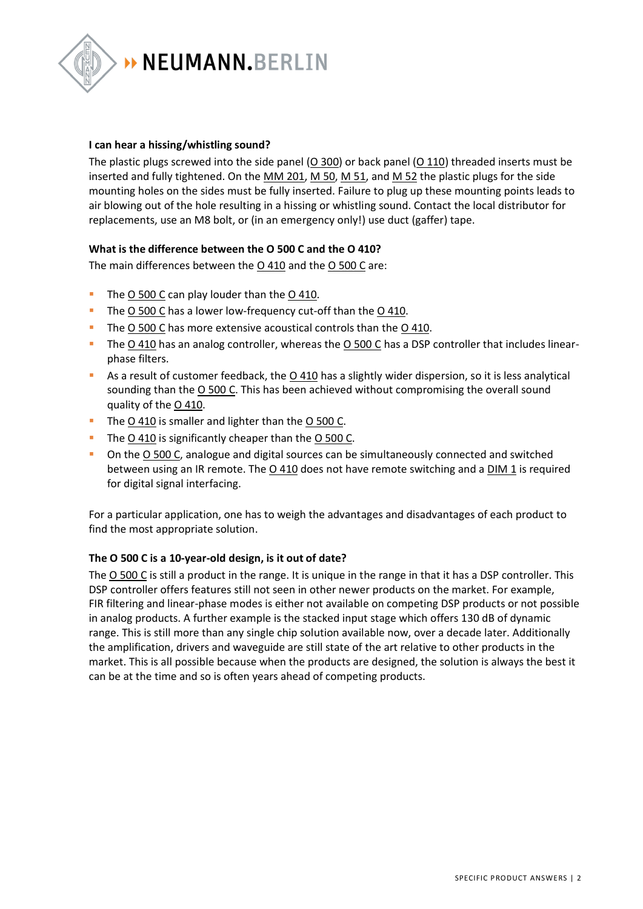

#### **I can hear a hissing/whistling sound?**

The plastic plugs screwed into the side panel  $(0\ 300)$  or back panel  $(0\ 110)$  threaded inserts must be inserted and fully tightened. On the  $MM$  201,  $M$  50,  $M$  51, and  $M$  52 the plastic plugs for the side mounting holes on the sides must be fully inserted. Failure to plug up these mounting points leads to air blowing out of the hole resulting in a hissing or whistling sound. Contact the local distributor for replacements, use an M8 bolt, or (in an emergency only!) use duct (gaffer) tape.

### **What is the difference between the O 500 C and the O 410?**

The main differences between the  $0.410$  and the  $0.500$  C are:

- The [O 500 C](http://www.neumann-kh-line.com/neumann-kh/home_en.nsf/root/prof-monitoring_discontinued-monitors_studio-products_O500C) can play louder than the [O 410.](http://www.neumann-kh-line.com/neumann-kh/home_en.nsf/root/prof-monitoring_discontinued-monitors_studio-products_O410_20141219101938)
- The [O 500 C](http://www.neumann-kh-line.com/neumann-kh/home_en.nsf/root/prof-monitoring_discontinued-monitors_studio-products_O500C) has a lower low-frequency cut-off than the [O 410.](http://www.neumann-kh-line.com/neumann-kh/home_en.nsf/root/prof-monitoring_discontinued-monitors_studio-products_O410_20141219101938)
- The [O 500 C](http://www.neumann-kh-line.com/neumann-kh/home_en.nsf/root/prof-monitoring_discontinued-monitors) has more extensive acoustical controls than the [O 410.](http://www.neumann-kh-line.com/neumann-kh/home_en.nsf/root/prof-monitoring_discontinued-monitors_studio-products_O410_20141219101938)
- The [O 410](http://www.neumann-kh-line.com/neumann-kh/home_en.nsf/root/prof-monitoring_discontinued-monitors_studio-products_O410_20141219101938) has an analog controller, whereas the [O 500 C](http://www.neumann-kh-line.com/neumann-kh/home_en.nsf/root/prof-monitoring_discontinued-monitors_studio-products_O500C) has a DSP controller that includes linearphase filters.
- As a result of customer feedback, the [O 410](http://www.neumann-kh-line.com/neumann-kh/home_en.nsf/root/prof-monitoring_discontinued-monitors_studio-products_O410_20141219101938) has a slightly wider dispersion, so it is less analytical sounding than the [O 500 C.](http://www.neumann-kh-line.com/neumann-kh/home_en.nsf/root/prof-monitoring_discontinued-monitors_studio-products_O500C) This has been achieved without compromising the overall sound quality of the [O 410.](http://www.neumann-kh-line.com/neumann-kh/home_en.nsf/root/prof-monitoring_discontinued-monitors_studio-products_O410_20141219101938)
- The [O 410](http://www.neumann-kh-line.com/neumann-kh/home_en.nsf/root/prof-monitoring_discontinued-monitors_studio-products_O410_20141219101938) is smaller and lighter than the [O 500 C.](http://www.neumann-kh-line.com/neumann-kh/home_en.nsf/root/prof-monitoring_discontinued-monitors_studio-products_O500C)
- The [O 410](http://www.neumann-kh-line.com/neumann-kh/home_en.nsf/root/prof-monitoring_discontinued-monitors_studio-products_O410_20141219101938) is significantly cheaper than the [O 500 C.](http://www.neumann-kh-line.com/neumann-kh/home_en.nsf/root/prof-monitoring_discontinued-monitors_studio-products_O500C)
- On the [O 500 C,](http://www.neumann-kh-line.com/neumann-kh/home_en.nsf/root/prof-monitoring_discontinued-monitors_studio-products_O500C) analogue and digital sources can be simultaneously connected and switched between using an IR remote. The [O 410](http://www.neumann-kh-line.com/neumann-kh/home_en.nsf/root/prof-monitoring_discontinued-monitors_studio-products_O410_20141219101938) does not have remote switching and a [DIM 1](http://en-de.neumann.com/dim-1) is required for digital signal interfacing.

For a particular application, one has to weigh the advantages and disadvantages of each product to find the most appropriate solution.

#### **The O 500 C is a 10-year-old design, is it out of date?**

The [O 500 C](http://www.neumann-kh-line.com/neumann-kh/home_en.nsf/root/prof-monitoring_discontinued-monitors_studio-products_O500C) is still a product in the range. It is unique in the range in that it has a DSP controller. This DSP controller offers features still not seen in other newer products on the market. For example, FIR filtering and linear-phase modes is either not available on competing DSP products or not possible in analog products. A further example is the stacked input stage which offers 130 dB of dynamic range. This is still more than any single chip solution available now, over a decade later. Additionally the amplification, drivers and waveguide are still state of the art relative to other products in the market. This is all possible because when the products are designed, the solution is always the best it can be at the time and so is often years ahead of competing products.